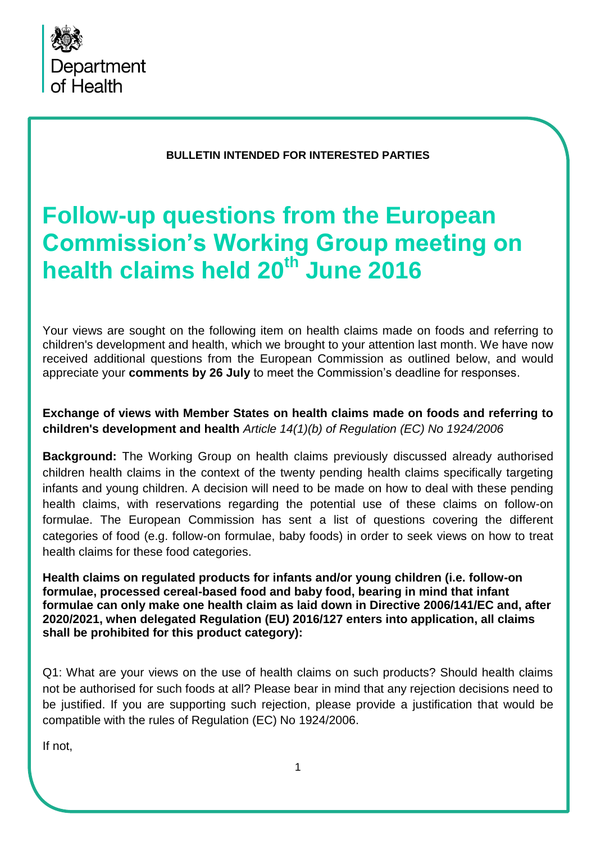

#### **BULLETIN INTENDED FOR INTERESTED PARTIES**

# **Follow-up questions from the European Commission's Working Group meeting on health claims held 20th June 2016**

Your views are sought on the following item on health claims made on foods and referring to children's development and health, which we brought to your attention last month. We have now received additional questions from the European Commission as outlined below, and would appreciate your **comments by 26 July** to meet the Commission's deadline for responses.

## **Exchange of views with Member States on health claims made on foods and referring to children's development and health** *Article 14(1)(b) of Regulation (EC) No 1924/2006*

**Background:** The Working Group on health claims previously discussed already authorised children health claims in the context of the twenty pending health claims specifically targeting infants and young children. A decision will need to be made on how to deal with these pending health claims, with reservations regarding the potential use of these claims on follow-on formulae. The European Commission has sent a list of questions covering the different categories of food (e.g. follow-on formulae, baby foods) in order to seek views on how to treat health claims for these food categories.

**Health claims on regulated products for infants and/or young children (i.e. follow-on formulae, processed cereal-based food and baby food, bearing in mind that infant formulae can only make one health claim as laid down in Directive 2006/141/EC and, after 2020/2021, when delegated Regulation (EU) 2016/127 enters into application, all claims shall be prohibited for this product category):** 

Q1: What are your views on the use of health claims on such products? Should health claims not be authorised for such foods at all? Please bear in mind that any rejection decisions need to be justified. If you are supporting such rejection, please provide a justification that would be compatible with the rules of Regulation (EC) No 1924/2006.

If not,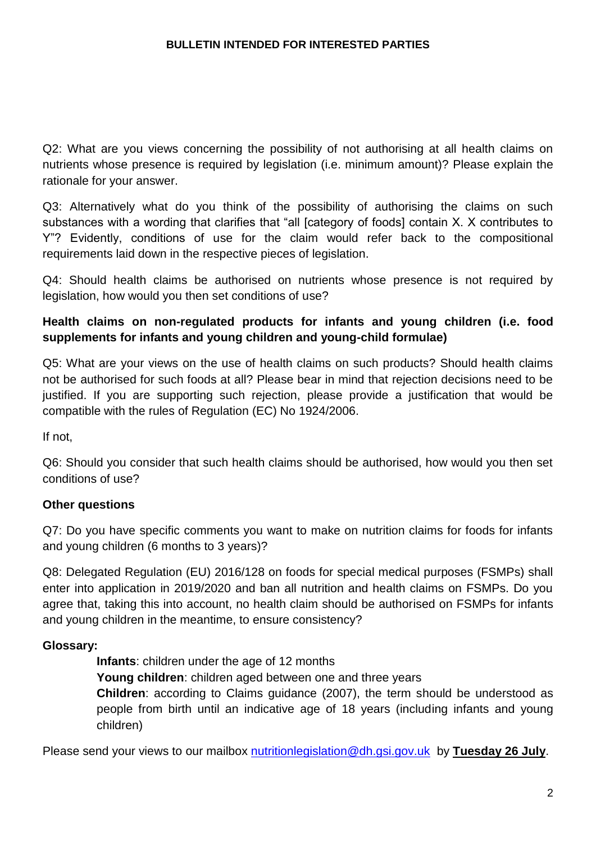Q2: What are you views concerning the possibility of not authorising at all health claims on nutrients whose presence is required by legislation (i.e. minimum amount)? Please explain the rationale for your answer.

Q3: Alternatively what do you think of the possibility of authorising the claims on such substances with a wording that clarifies that "all [category of foods] contain X. X contributes to Y"? Evidently, conditions of use for the claim would refer back to the compositional requirements laid down in the respective pieces of legislation.

Q4: Should health claims be authorised on nutrients whose presence is not required by legislation, how would you then set conditions of use?

# **Health claims on non-regulated products for infants and young children (i.e. food supplements for infants and young children and young-child formulae)**

Q5: What are your views on the use of health claims on such products? Should health claims not be authorised for such foods at all? Please bear in mind that rejection decisions need to be justified. If you are supporting such rejection, please provide a justification that would be compatible with the rules of Regulation (EC) No 1924/2006.

If not,

Q6: Should you consider that such health claims should be authorised, how would you then set conditions of use?

# **Other questions**

Q7: Do you have specific comments you want to make on nutrition claims for foods for infants and young children (6 months to 3 years)?

Q8: Delegated Regulation (EU) 2016/128 on foods for special medical purposes (FSMPs) shall enter into application in 2019/2020 and ban all nutrition and health claims on FSMPs. Do you agree that, taking this into account, no health claim should be authorised on FSMPs for infants and young children in the meantime, to ensure consistency?

## **Glossary:**

**Infants**: children under the age of 12 months

**Young children**: children aged between one and three years

**Children**: according to Claims guidance (2007), the term should be understood as people from birth until an indicative age of 18 years (including infants and young children)

Please send your views to our mailbox [nutritionlegislation@dh.gsi.gov.uk](mailto:nutritionlegislation@dh.gsi.gov.uk) by **Tuesday 26 July**.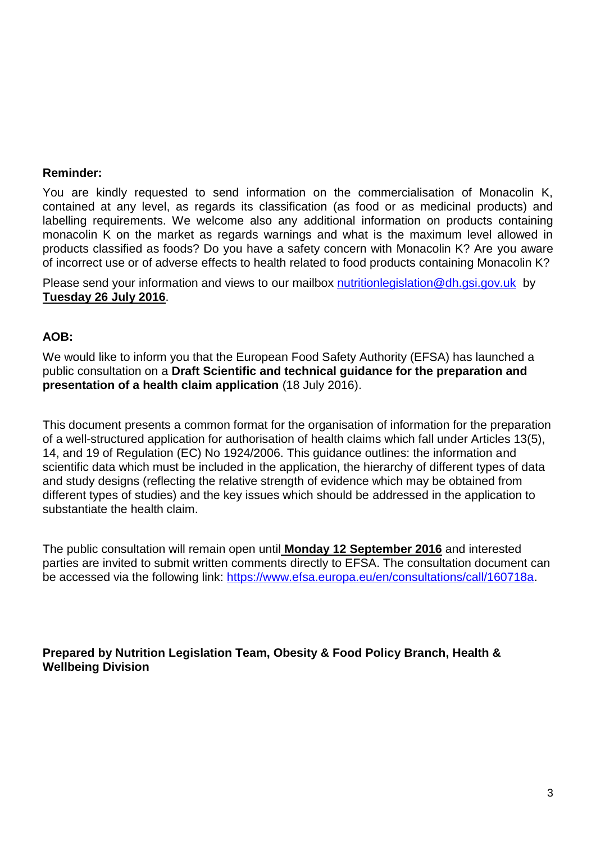#### **Reminder:**

You are kindly requested to send information on the commercialisation of Monacolin K, contained at any level, as regards its classification (as food or as medicinal products) and labelling requirements. We welcome also any additional information on products containing monacolin K on the market as regards warnings and what is the maximum level allowed in products classified as foods? Do you have a safety concern with Monacolin K? Are you aware of incorrect use or of adverse effects to health related to food products containing Monacolin K?

Please send your information and views to our mailbox [nutritionlegislation@dh.gsi.gov.uk](mailto:nutritionlegislation@dh.gsi.gov.uk) by **Tuesday 26 July 2016**.

#### **AOB:**

We would like to inform you that the European Food Safety Authority (EFSA) has launched a public consultation on a **Draft Scientific and technical guidance for the preparation and presentation of a health claim application** (18 July 2016).

This document presents a common format for the organisation of information for the preparation of a well-structured application for authorisation of health claims which fall under Articles 13(5), 14, and 19 of Regulation (EC) No 1924/2006. This guidance outlines: the information and scientific data which must be included in the application, the hierarchy of different types of data and study designs (reflecting the relative strength of evidence which may be obtained from different types of studies) and the key issues which should be addressed in the application to substantiate the health claim.

The public consultation will remain open until **Monday 12 September 2016** and interested parties are invited to submit written comments directly to EFSA. The consultation document can be accessed via the following link: [https://www.efsa.europa.eu/en/consultations/call/160718a.](https://www.efsa.europa.eu/en/consultations/call/160718a)

**Prepared by Nutrition Legislation Team, Obesity & Food Policy Branch, Health & Wellbeing Division**